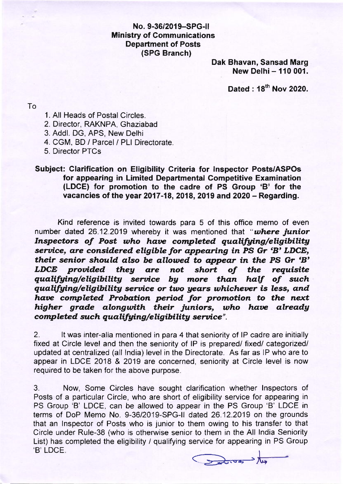## No. 9-36/2019-SPG-ll Ministry of Communications Department of Posts (SPG Branch)

Dak Bhavan, Sansad Marg New Delhi- 110 001.

Dated : 18th Nov 2020.

To

- 1. All Heads of Postal Circles.
- 2. Director, RAKNPA, Ghaziabad
- 3. Addl. DG, APS, New Delhi
- 4. CGM, BD / Parcel / PLI Directorate.
- 5. Director PTCs

## Subject: Clarification on Eligibility Criteria for lnspector Posts/ASPOs for appearing in Limited Departmental Competitive Examination (LDCE) for promotion to the cadre of PS Group 'B' for the vacancies of the year 2017-18, 2018, 2019 and 2020  $-$  Regarding.

Kind reference is invited towards para 5 of this office memo of even number dated 26.12.2019 whereby it was mentioned that "where junior Inspectors of Post who have completed qualifying/eligibility service, are considered eligible for appearing in PS Gr 'B' LDCE, their senior should also be allowed to appear in the PS Gr 'B'<br>LDCE provided they are not short of the requisite LDCE provided they qualifying/eligibility service by more than half of such qualifying/eligibility service or two years whichever is less, and have completed Probation period for promotion to the next higher grade alongwith their juniors, who have already completed such qualifying/eligibility service".

2. lt was inter-alia mentioned in para 4 that seniority of lP cadre are initially fixed at Circle level and then the seniority of lP is prepared/ fixed/ categorized/ updated at centralized (all lndia) level in the Directorate. As far as lP who are to appear in LDCE 2018 & 2019 are concerned, seniority at Circle level is now required to be taken for the above purpose.

3. Now, Some Circles have sought clarification whether lnspectors of Posts of a particular Circle, who are short of eligibility service for appearing in PS Group 'B' LDCE, can be allowed to appear in the PS Group 'B' LDCE in terms of DoP Memo No. 9-36/2019-SPG-II dated 26.12.2019 on the grounds that an lnspector of Posts who is junior to them owing to his transfer to that Circle under Rule-38 (who is otherwise senior to them in the All lndia Seniority List) has completed the eligibility / qualifying service for appearing in PS Group .<br>'B' LDCE.

Santon de to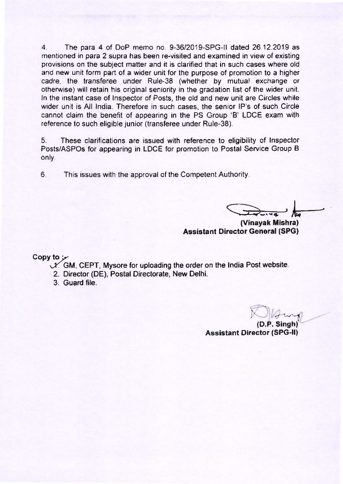4. The para 4 of DoP memo no 9-36/2019-SPG-ll dated 26.12.2019 as mentioned in para 2 supra has been re-visited and examined in view of existing provisions on the subject matter and it is clarified that in such cases where old and new unit form part of a wider unit for the purpose of promotion to a higher cadre, the transferee under Rule-38 (whether by mutual exchange or otherwise) will retain his original seniority in the gradation list of the wider unit. ln the instant case of lnspector of Posts, the old and new unit are Circles while wider unit is All lndia. Therefore in such cases, the senior lP's of such Circle cannot claim the benefit of appearing in the PS Group 'B' LDCE exam with reference to such eligible junior (transferee under Rule-38).

5. These clarifications are issued with reference to eligibility of lnspector Posts/ASPOs for appearing in LDCE for promotion to Postal Service Group B only.

6. This issues with the approval of the Competent Authority.

(Vinayak Mishra)

Assistant Director General (SPG)

Copy to  $\mathcal{V}$ 

- $\mathcal{N}$ . GM, CEPT, Mysore for uploading the order on the India Post website.
	- 2. Director (DE), Postal Directorate, New Delhi.
- 3. Guard file.

 $\sim$  $\sqrt{1-v^2}$ (D.P. Sinsh)''

Assistant Director (SPG-ll)